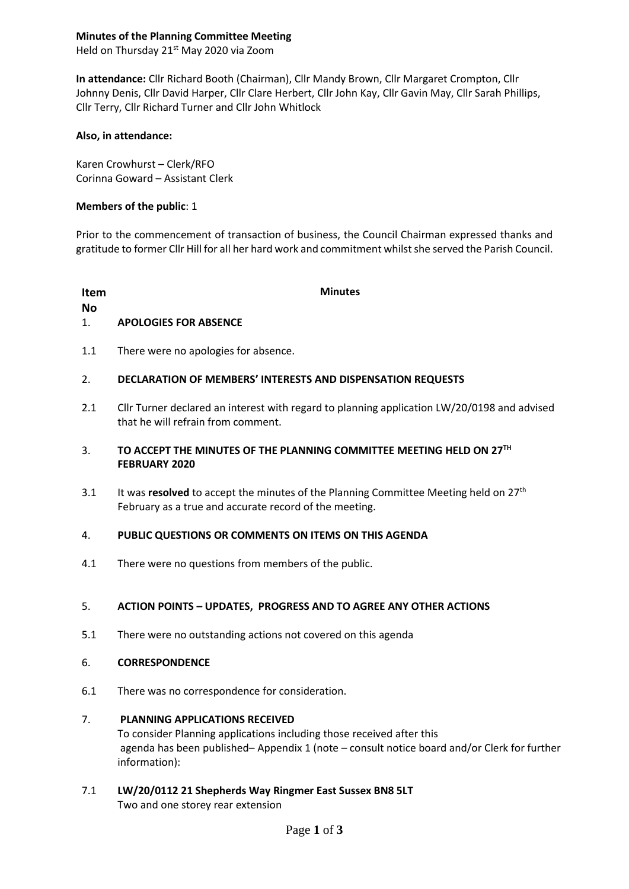# **Minutes of the Planning Committee Meeting**

Held on Thursday 21<sup>st</sup> May 2020 via Zoom

**In attendance:** Cllr Richard Booth (Chairman), Cllr Mandy Brown, Cllr Margaret Crompton, Cllr Johnny Denis, Cllr David Harper, Cllr Clare Herbert, Cllr John Kay, Cllr Gavin May, Cllr Sarah Phillips, Cllr Terry, Cllr Richard Turner and Cllr John Whitlock

## **Also, in attendance:**

Karen Crowhurst – Clerk/RFO Corinna Goward – Assistant Clerk

## **Members of the public**: 1

Prior to the commencement of transaction of business, the Council Chairman expressed thanks and gratitude to former Cllr Hill for all her hard work and commitment whilst she served the Parish Council.

**Item** 

**Minutes**

**No**

### 1. **APOLOGIES FOR ABSENCE**

1.1 There were no apologies for absence.

### 2. **DECLARATION OF MEMBERS' INTERESTS AND DISPENSATION REQUESTS**

2.1 Cllr Turner declared an interest with regard to planning application LW/20/0198 and advised that he will refrain from comment.

### 3. **TO ACCEPT THE MINUTES OF THE PLANNING COMMITTEE MEETING HELD ON 27 TH FEBRUARY 2020**

3.1 It was **resolved** to accept the minutes of the Planning Committee Meeting held on 27th February as a true and accurate record of the meeting.

### 4. **PUBLIC QUESTIONS OR COMMENTS ON ITEMS ON THIS AGENDA**

4.1 There were no questions from members of the public.

### 5. **ACTION POINTS – UPDATES, PROGRESS AND TO AGREE ANY OTHER ACTIONS**

5.1 There were no outstanding actions not covered on this agenda

### 6. **CORRESPONDENCE**

- 6.1 There was no correspondence for consideration.
- 7. **PLANNING APPLICATIONS RECEIVED**  To consider Planning applications including those received after this agenda has been published– Appendix 1 (note – consult notice board and/or Clerk for further information):
- 7.1 **LW/20/0112 21 Shepherds Way Ringmer East Sussex BN8 5LT** Two and one storey rear extension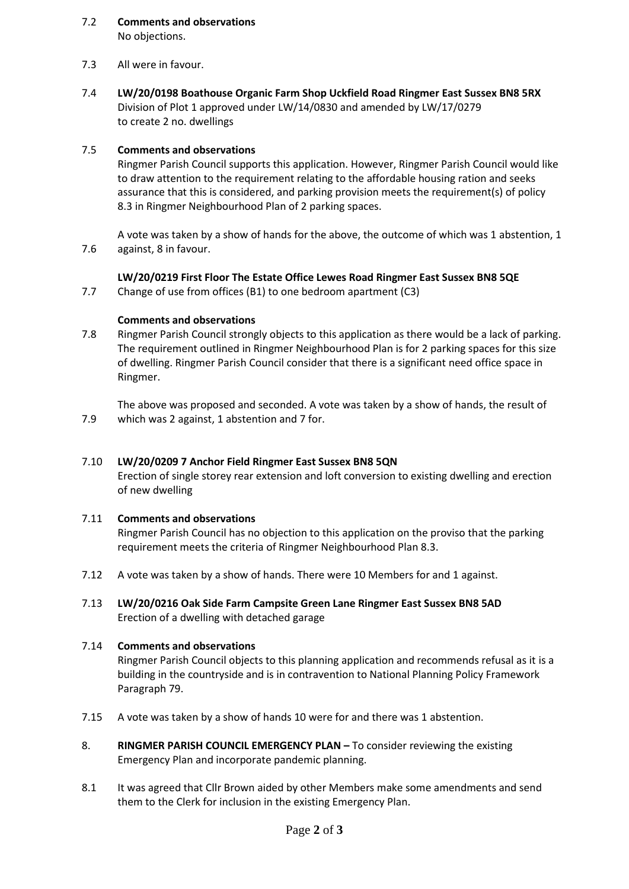### 7.2 **Comments and observations** No objections.

- 7.3 All were in favour.
- 7.4 **LW/20/0198 Boathouse Organic Farm Shop Uckfield Road Ringmer East Sussex BN8 5RX** Division of Plot 1 approved under LW/14/0830 and amended by LW/17/0279 to create 2 no. dwellings

### 7.5 **Comments and observations**

Ringmer Parish Council supports this application. However, Ringmer Parish Council would like to draw attention to the requirement relating to the affordable housing ration and seeks assurance that this is considered, and parking provision meets the requirement(s) of policy 8.3 in Ringmer Neighbourhood Plan of 2 parking spaces.

7.6 A vote was taken by a show of hands for the above, the outcome of which was 1 abstention, 1 against, 8 in favour.

# **LW/20/0219 First Floor The Estate Office Lewes Road Ringmer East Sussex BN8 5QE**

7.7 Change of use from offices (B1) to one bedroom apartment (C3)

# **Comments and observations**

7.8 Ringmer Parish Council strongly objects to this application as there would be a lack of parking. The requirement outlined in Ringmer Neighbourhood Plan is for 2 parking spaces for this size of dwelling. Ringmer Parish Council consider that there is a significant need office space in Ringmer.

7.9 The above was proposed and seconded. A vote was taken by a show of hands, the result of which was 2 against, 1 abstention and 7 for.

### 7.10 **LW/20/0209 7 Anchor Field Ringmer East Sussex BN8 5QN**

Erection of single storey rear extension and loft conversion to existing dwelling and erection of new dwelling

### 7.11 **Comments and observations**

Ringmer Parish Council has no objection to this application on the proviso that the parking requirement meets the criteria of Ringmer Neighbourhood Plan 8.3.

- 7.12 A vote was taken by a show of hands. There were 10 Members for and 1 against.
- 7.13 **LW/20/0216 Oak Side Farm Campsite Green Lane Ringmer East Sussex BN8 5AD** Erection of a dwelling with detached garage

### 7.14 **Comments and observations**

Ringmer Parish Council objects to this planning application and recommends refusal as it is a building in the countryside and is in contravention to National Planning Policy Framework Paragraph 79.

- 7.15 A vote was taken by a show of hands 10 were for and there was 1 abstention.
- 8. **RINGMER PARISH COUNCIL EMERGENCY PLAN –** To consider reviewing the existing Emergency Plan and incorporate pandemic planning.
- 8.1 It was agreed that Cllr Brown aided by other Members make some amendments and send them to the Clerk for inclusion in the existing Emergency Plan.